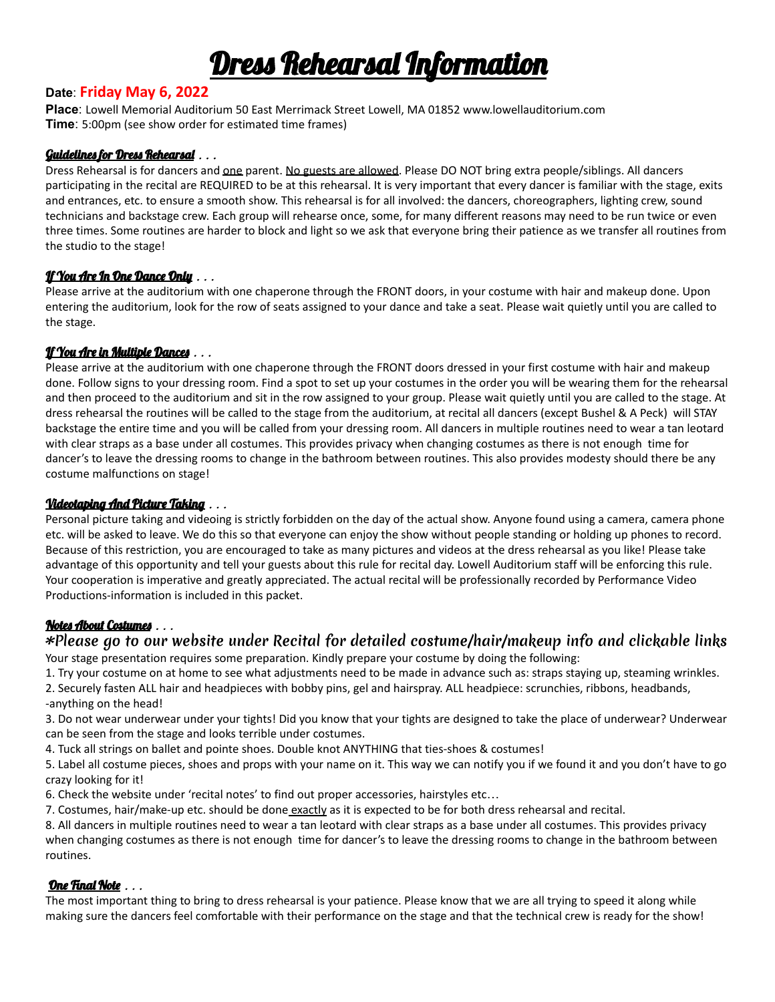## Dress Rehearsal Information

#### **Date**: **Friday May 6, 2022**

**Place**: Lowell Memorial Auditorium 50 East Merrimack Street Lowell, MA 01852 www.lowellauditorium.com **Time**: 5:00pm (see show order for estimated time frames)

#### Guidelines for Dress Rehearsal . . .

Dress Rehearsal is for dancers and one parent. No guests are allowed. Please DO NOT bring extra people/siblings. All dancers participating in the recital are REQUIRED to be at this rehearsal. It is very important that every dancer is familiar with the stage, exits and entrances, etc. to ensure a smooth show. This rehearsal is for all involved: the dancers, choreographers, lighting crew, sound technicians and backstage crew. Each group will rehearse once, some, for many different reasons may need to be run twice or even three times. Some routines are harder to block and light so we ask that everyone bring their patience as we transfer all routines from the studio to the stage!

#### <u> If You Are In One Dance Only</u> . . .

Please arrive at the auditorium with one chaperone through the FRONT doors, in your costume with hair and makeup done. Upon entering the auditorium, look for the row of seats assigned to your dance and take a seat. Please wait quietly until you are called to the stage.

#### <u>If You Are in Multiple Dances</u> . . .

Please arrive at the auditorium with one chaperone through the FRONT doors dressed in your first costume with hair and makeup done. Follow signs to your dressing room. Find a spot to set up your costumes in the order you will be wearing them for the rehearsal and then proceed to the auditorium and sit in the row assigned to your group. Please wait quietly until you are called to the stage. At dress rehearsal the routines will be called to the stage from the auditorium, at recital all dancers (except Bushel & A Peck) will STAY backstage the entire time and you will be called from your dressing room. All dancers in multiple routines need to wear a tan leotard with clear straps as a base under all costumes. This provides privacy when changing costumes as there is not enough time for dancer's to leave the dressing rooms to change in the bathroom between routines. This also provides modesty should there be any costume malfunctions on stage!

#### Videotaping And Picture Taking . . .

Personal picture taking and videoing is strictly forbidden on the day of the actual show. Anyone found using a camera, camera phone etc. will be asked to leave. We do this so that everyone can enjoy the show without people standing or holding up phones to record. Because of this restriction, you are encouraged to take as many pictures and videos at the dress rehearsal as you like! Please take advantage of this opportunity and tell your guests about this rule for recital day. Lowell Auditorium staff will be enforcing this rule. Your cooperation is imperative and greatly appreciated. The actual recital will be professionally recorded by Performance Video Productions-information is included in this packet.

#### Notes About Costumes . . .

### \***Please go to our website under Recital for detailed costume/hair/makeup info and clickable links**

Your stage presentation requires some preparation. Kindly prepare your costume by doing the following:

1. Try your costume on at home to see what adjustments need to be made in advance such as: straps staying up, steaming wrinkles. 2. Securely fasten ALL hair and headpieces with bobby pins, gel and hairspray. ALL headpiece: scrunchies, ribbons, headbands, -anything on the head!

3. Do not wear underwear under your tights! Did you know that your tights are designed to take the place of underwear? Underwear can be seen from the stage and looks terrible under costumes.

4. Tuck all strings on ballet and pointe shoes. Double knot ANYTHING that ties-shoes & costumes!

5. Label all costume pieces, shoes and props with your name on it. This way we can notify you if we found it and you don't have to go crazy looking for it!

6. Check the website under 'recital notes' to find out proper accessories, hairstyles etc…

7. Costumes, hair/make-up etc. should be done exactly as it is expected to be for both dress rehearsal and recital.

8. All dancers in multiple routines need to wear a tan leotard with clear straps as a base under all costumes. This provides privacy when changing costumes as there is not enough time for dancer's to leave the dressing rooms to change in the bathroom between routines.

#### One Final Note . . .

The most important thing to bring to dress rehearsal is your patience. Please know that we are all trying to speed it along while making sure the dancers feel comfortable with their performance on the stage and that the technical crew is ready for the show!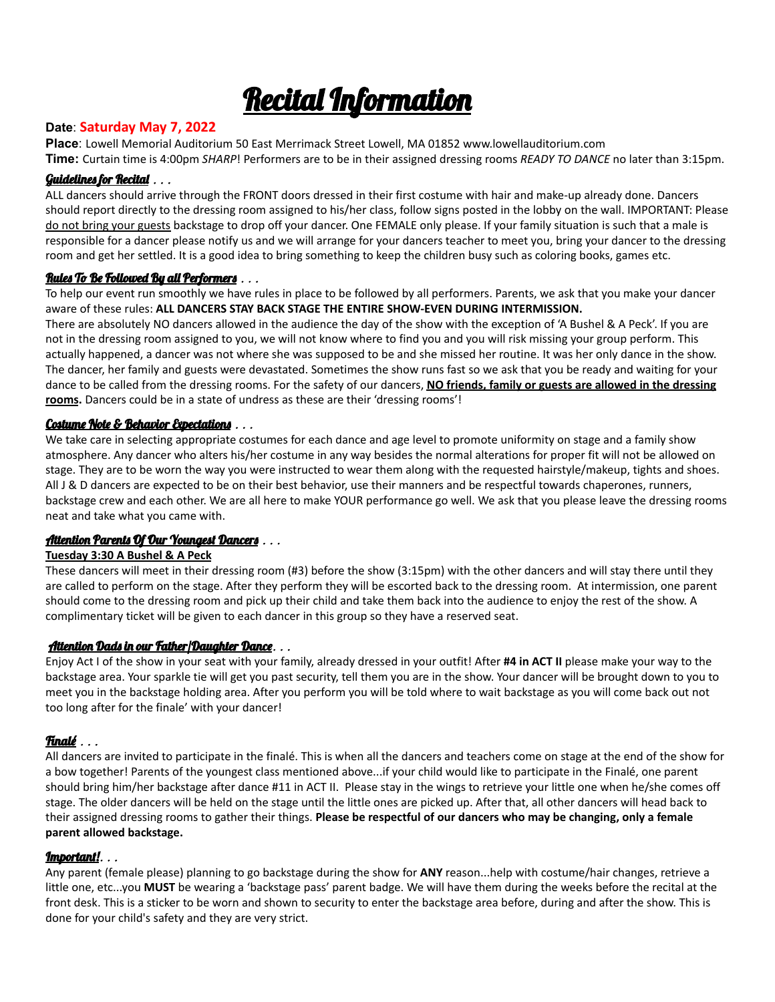

#### **Date**: **Saturday May 7, 2022**

**Place**: Lowell Memorial Auditorium 50 East Merrimack Street Lowell, MA 01852 www.lowellauditorium.com

**Time:** Curtain time is 4:00pm *SHARP*! Performers are to be in their assigned dressing rooms *READY TO DANCE* no later than 3:15pm.

#### Guidelines for Recital . . .

ALL dancers should arrive through the FRONT doors dressed in their first costume with hair and make-up already done. Dancers should report directly to the dressing room assigned to his/her class, follow signs posted in the lobby on the wall. IMPORTANT: Please do not bring your guests backstage to drop off your dancer. One FEMALE only please. If your family situation is such that a male is responsible for a dancer please notify us and we will arrange for your dancers teacher to meet you, bring your dancer to the dressing room and get her settled. It is a good idea to bring something to keep the children busy such as coloring books, games etc.

#### Rules To Be Followed By all Performers . . .

To help our event run smoothly we have rules in place to be followed by all performers. Parents, we ask that you make your dancer aware of these rules: **ALL DANCERS STAY BACK STAGE THE ENTIRE SHOW-EVEN DURING INTERMISSION.**

There are absolutely NO dancers allowed in the audience the day of the show with the exception of 'A Bushel & A Peck'. If you are not in the dressing room assigned to you, we will not know where to find you and you will risk missing your group perform. This actually happened, a dancer was not where she was supposed to be and she missed her routine. It was her only dance in the show. The dancer, her family and guests were devastated. Sometimes the show runs fast so we ask that you be ready and waiting for your dance to be called from the dressing rooms. For the safety of our dancers, **NO friends, family or guests are allowed in the dressing rooms.** Dancers could be in a state of undress as these are their 'dressing rooms'!

#### Costume Note & Behavior Expectations . . .

We take care in selecting appropriate costumes for each dance and age level to promote uniformity on stage and a family show atmosphere. Any dancer who alters his/her costume in any way besides the normal alterations for proper fit will not be allowed on stage. They are to be worn the way you were instructed to wear them along with the requested hairstyle/makeup, tights and shoes. All J & D dancers are expected to be on their best behavior, use their manners and be respectful towards chaperones, runners, backstage crew and each other. We are all here to make YOUR performance go well. We ask that you please leave the dressing rooms neat and take what you came with.

#### Attention Parents Of Our Youngest Dancers . . .

#### **Tuesday 3:30 A Bushel & A Peck**

These dancers will meet in their dressing room (#3) before the show (3:15pm) with the other dancers and will stay there until they are called to perform on the stage. After they perform they will be escorted back to the dressing room. At intermission, one parent should come to the dressing room and pick up their child and take them back into the audience to enjoy the rest of the show. A complimentary ticket will be given to each dancer in this group so they have a reserved seat.

#### Attention Dads in our Father/Daughter Dance. . .

Enjoy Act I of the show in your seat with your family, already dressed in your outfit! After **#4 in ACT II** please make your way to the backstage area. Your sparkle tie will get you past security, tell them you are in the show. Your dancer will be brought down to you to meet you in the backstage holding area. After you perform you will be told where to wait backstage as you will come back out not too long after for the finale' with your dancer!

#### Finalé .. .

All dancers are invited to participate in the finalé. This is when all the dancers and teachers come on stage at the end of the show for a bow together! Parents of the youngest class mentioned above...if your child would like to participate in the Finalé, one parent should bring him/her backstage after dance #11 in ACT II. Please stay in the wings to retrieve your little one when he/she comes off stage. The older dancers will be held on the stage until the little ones are picked up. After that, all other dancers will head back to their assigned dressing rooms to gather their things. **Please be respectful of our dancers who may be changing, only a female parent allowed backstage.**

#### Important!. . .

Any parent (female please) planning to go backstage during the show for **ANY** reason...help with costume/hair changes, retrieve a little one, etc...you **MUST** be wearing a 'backstage pass' parent badge. We will have them during the weeks before the recital at the front desk. This is a sticker to be worn and shown to security to enter the backstage area before, during and after the show. This is done for your child's safety and they are very strict.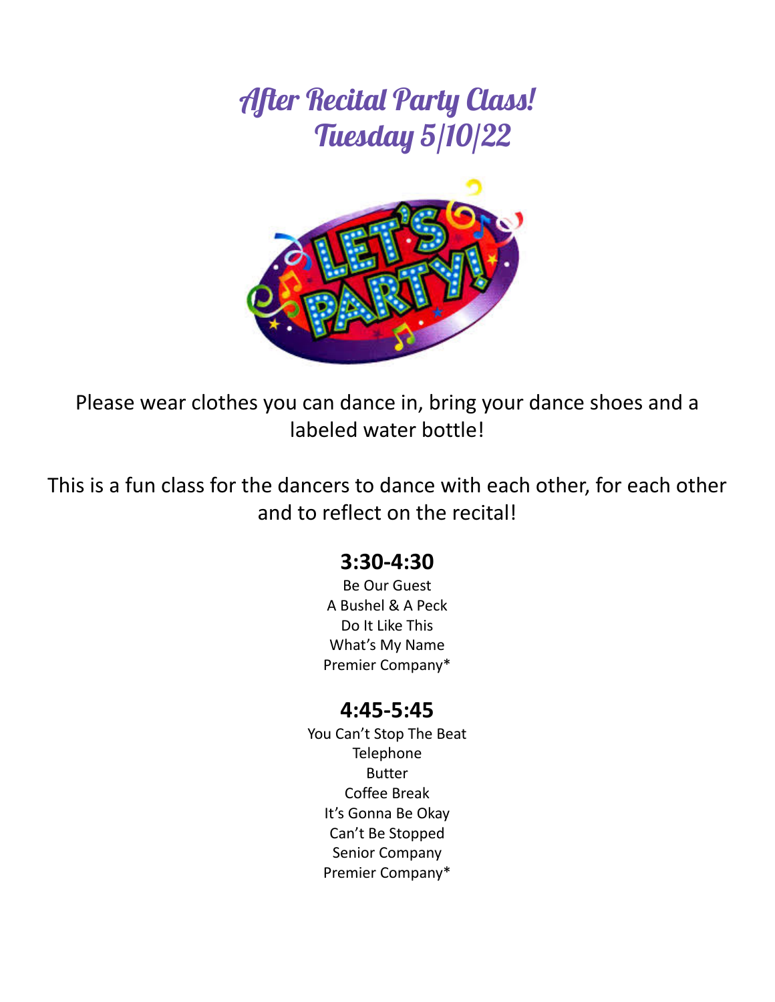## After Recital Party Class! Tuesday 5/10/22



Please wear clothes you can dance in, bring your dance shoes and a labeled water bottle!

This is a fun class for the dancers to dance with each other, for each other and to reflect on the recital!

### **3:30-4:30**

Be Our Guest A Bushel & A Peck Do It Like This What's My Name Premier Company\*

### **4:45-5:45**

You Can't Stop The Beat **Telephone** Butter Coffee Break It's Gonna Be Okay Can't Be Stopped Senior Company Premier Company\*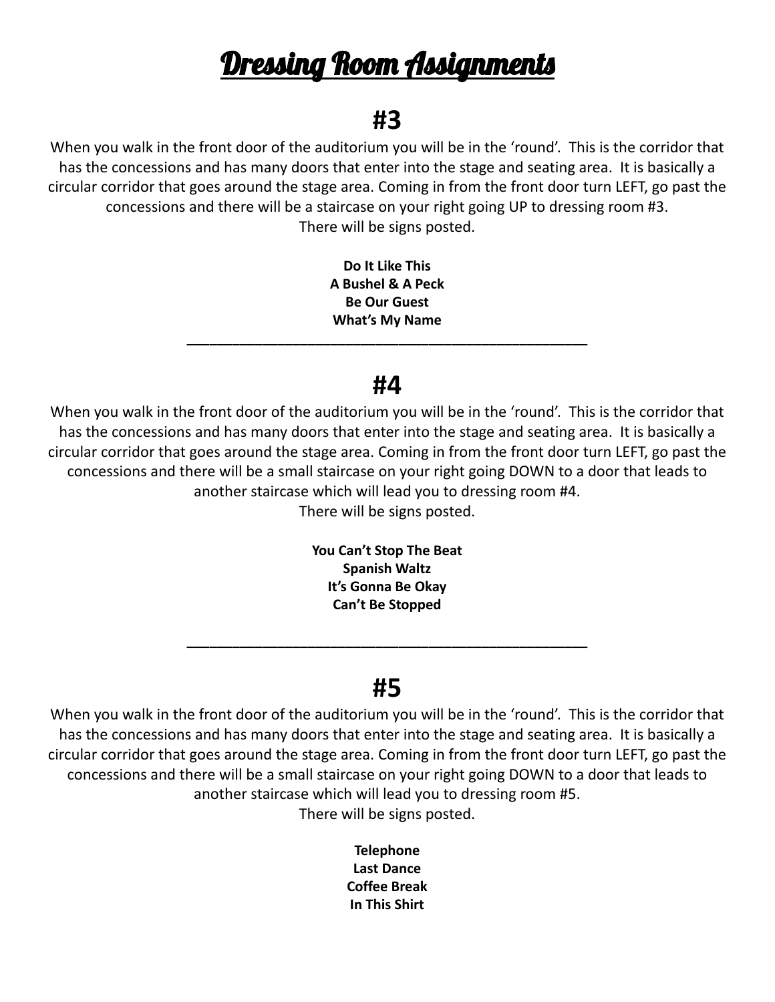## <u>Dressing Room Assignments</u>

## **#3**

When you walk in the front door of the auditorium you will be in the 'round'. This is the corridor that has the concessions and has many doors that enter into the stage and seating area. It is basically a circular corridor that goes around the stage area. Coming in from the front door turn LEFT, go past the concessions and there will be a staircase on your right going UP to dressing room #3. There will be signs posted.

> **Do It Like This A Bushel & A Peck Be Our Guest What's My Name**

### **#4**

**\_\_\_\_\_\_\_\_\_\_\_\_\_\_\_\_\_\_\_\_\_\_\_\_\_\_\_\_\_\_\_\_\_\_\_\_\_\_\_\_\_\_\_\_\_\_\_\_\_\_\_\_\_**

When you walk in the front door of the auditorium you will be in the 'round'. This is the corridor that has the concessions and has many doors that enter into the stage and seating area. It is basically a circular corridor that goes around the stage area. Coming in from the front door turn LEFT, go past the concessions and there will be a small staircase on your right going DOWN to a door that leads to another staircase which will lead you to dressing room #4.

There will be signs posted.

**You Can't Stop The Beat Spanish Waltz It's Gonna Be Okay Can't Be Stopped**

### **#5**

**\_\_\_\_\_\_\_\_\_\_\_\_\_\_\_\_\_\_\_\_\_\_\_\_\_\_\_\_\_\_\_\_\_\_\_\_\_\_\_\_\_\_\_\_\_\_\_\_\_\_\_\_\_**

When you walk in the front door of the auditorium you will be in the 'round'. This is the corridor that has the concessions and has many doors that enter into the stage and seating area. It is basically a circular corridor that goes around the stage area. Coming in from the front door turn LEFT, go past the concessions and there will be a small staircase on your right going DOWN to a door that leads to another staircase which will lead you to dressing room #5. There will be signs posted.

> **Telephone Last Dance Coffee Break In This Shirt**